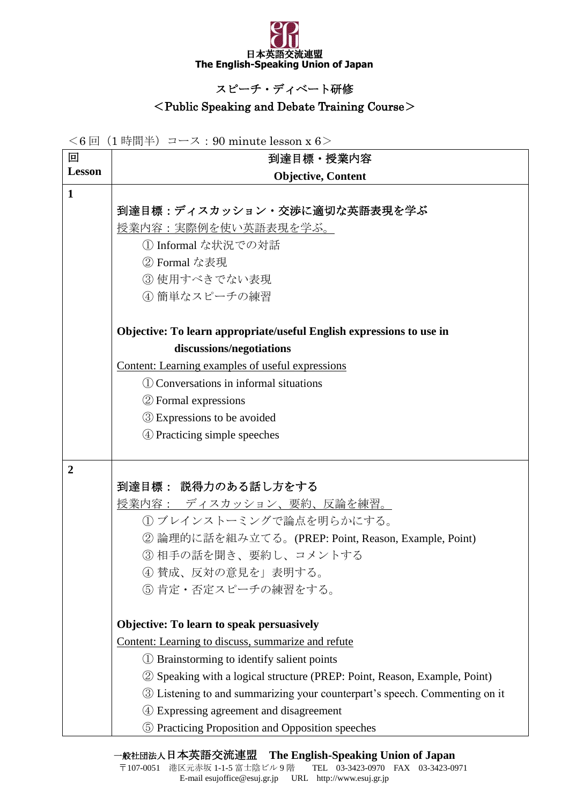

## スピーチ・ディベート研修

## <Public Speaking and Debate Training Course>

<6 回(1 時間半)コース:90 minute lesson x 6>

| 回              | 到達目標·授業内容                                                                  |
|----------------|----------------------------------------------------------------------------|
| <b>Lesson</b>  | <b>Objective, Content</b>                                                  |
| $\mathbf{1}$   |                                                                            |
|                | 到達目標:ディスカッション・交渉に適切な英語表現を学ぶ                                                |
|                | 授業内容:実際例を使い英語表現を学ぶ。                                                        |
|                | 1 Informal な状況での対話                                                         |
|                | ② Formal な表現                                                               |
|                | 3 使用すべきでない表現                                                               |
|                | 4 簡単なスピーチの練習                                                               |
|                | Objective: To learn appropriate/useful English expressions to use in       |
|                | discussions/negotiations                                                   |
|                | Content: Learning examples of useful expressions                           |
|                | (1) Conversations in informal situations                                   |
|                | 2 Formal expressions                                                       |
|                | <b>3</b> Expressions to be avoided                                         |
|                | 4 Practicing simple speeches                                               |
|                |                                                                            |
| $\overline{2}$ | 到達目標: 説得力のある話し方をする                                                         |
|                | <b>授業内容: ディスカッション、要約、反論を練習。</b>                                            |
|                | (1) ブレインストーミングで論点を明らかにする。                                                  |
|                | ② 論理的に話を組み立てる。(PREP: Point, Reason, Example, Point)                        |
|                | 3相手の話を聞き、要約し、コメントする                                                        |
|                | ④ 賛成、反対の意見を」表明する。                                                          |
|                | 5 肯定·否定スピーチの練習をする。                                                         |
|                |                                                                            |
|                | Objective: To learn to speak persuasively                                  |
|                | Content: Learning to discuss, summarize and refute                         |
|                | 1) Brainstorming to identify salient points                                |
|                | 2 Speaking with a logical structure (PREP: Point, Reason, Example, Point)  |
|                | 3 Listening to and summarizing your counterpart's speech. Commenting on it |
|                | Expressing agreement and disagreement                                      |
|                | 5 Practicing Proposition and Opposition speeches                           |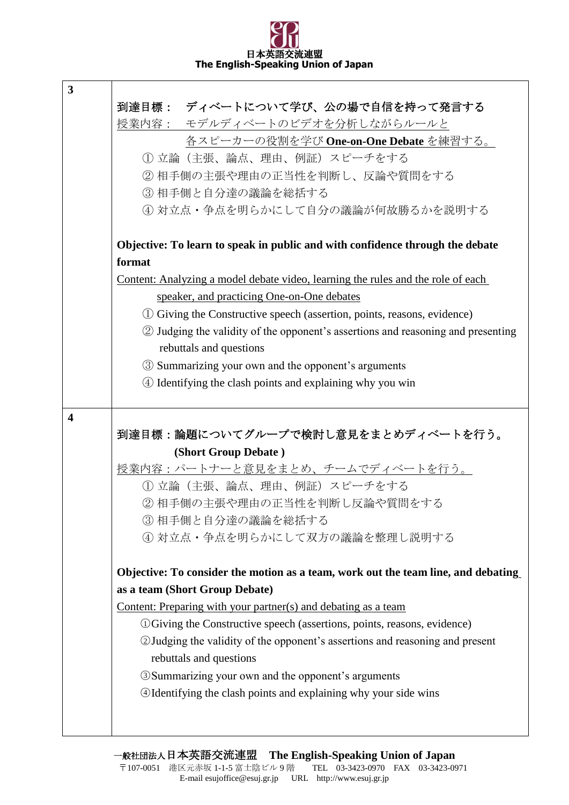## 日本革 **The English-Speaking Union of Japan**